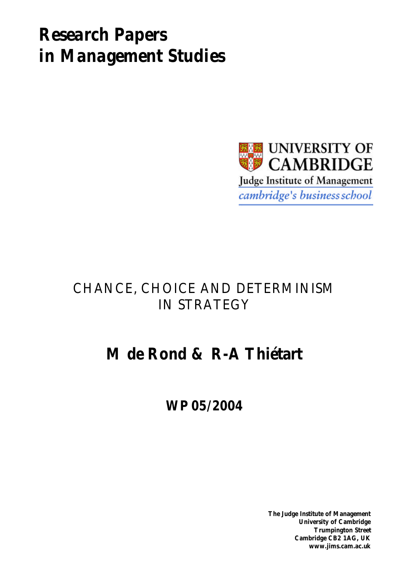# *Research Papers in Management Studies*



# CHANCE, CHOICE AND DETERMINISM IN STRATEGY

# **M de Rond & R-A Thiétart**

**WP 05/2004**

**The Judge Institute of Management University of Cambridge Trumpington Street Cambridge CB2 1AG, UK www.jims.cam.ac.uk**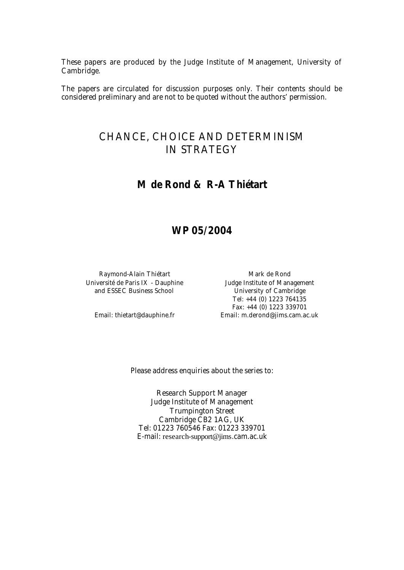These papers are produced by the Judge Institute of Management, University of Cambridge.

The papers are circulated for discussion purposes only. Their contents should be considered preliminary and are not to be quoted without the authors' permission.

# CHANCE, CHOICE AND DETERMINISM IN STRATEGY

# **M de Rond & R-A Thiétart**

# **WP 05/2004**

Raymond-Alain Thiétart Mark de Rond Université de Paris IX - Dauphine Judge Institute of Management and ESSEC Business School University of Cambridge

Tel: +44 (0) 1223 764135 Fax: +44 (0) 1223 339701 Email: thietart@dauphine.fr Email: m.derond@jims.cam.ac.uk

Please address enquiries about the series to:

Research Support Manager Judge Institute of Management Trumpington Street Cambridge CB2 1AG, UK Tel: 01223 760546 Fax: 01223 339701 E-mail: research-support@jims.cam.ac.uk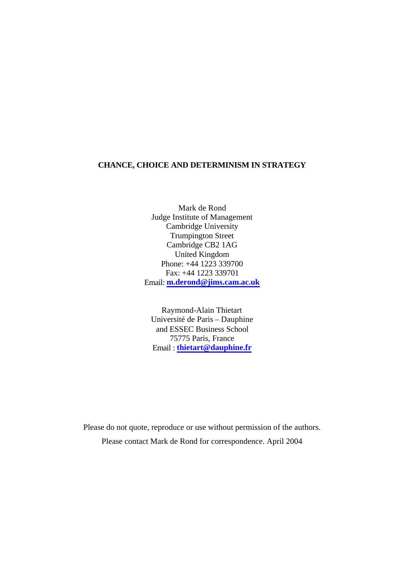# **CHANCE, CHOICE AND DETERMINISM IN STRATEGY**

Mark de Rond Judge Institute of Management Cambridge University Trumpington Street Cambridge CB2 1AG United Kingdom Phone: +44 1223 339700 Fax: +44 1223 339701 Email: **m.derond@jims.cam.ac.uk**

Raymond-Alain Thietart Université de Paris – Dauphine and ESSEC Business School 75775 Paris, France Email : **thietart@dauphine.fr**

Please do not quote, reproduce or use without permission of the authors. Please contact Mark de Rond for correspondence. April 2004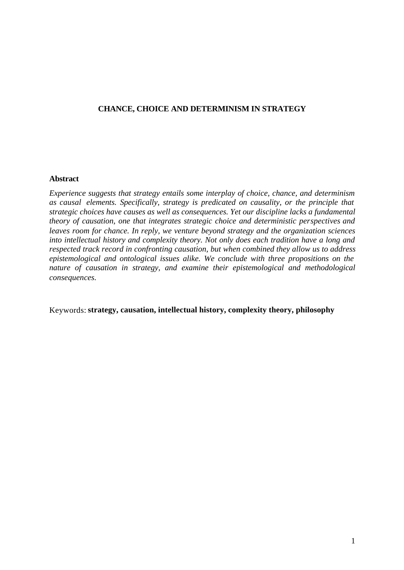# **CHANCE, CHOICE AND DETERMINISM IN STRATEGY**

## **Abstract**

*Experience suggests that strategy entails some interplay of choice, chance, and determinism as causal elements. Specifically, strategy is predicated on causality, or the principle that strategic choices have causes as well as consequences. Yet our discipline lacks a fundamental theory of causation, one that integrates strategic choice and deterministic perspectives and leaves room for chance. In reply, we venture beyond strategy and the organization sciences into intellectual history and complexity theory. Not only does each tradition have a long and respected track record in confronting causation, but when combined they allow us to address epistemological and ontological issues alike. We conclude with three propositions on the nature of causation in strategy, and examine their epistemological and methodological consequences.* 

Keywords: **strategy, causation, intellectual history, complexity theory, philosophy**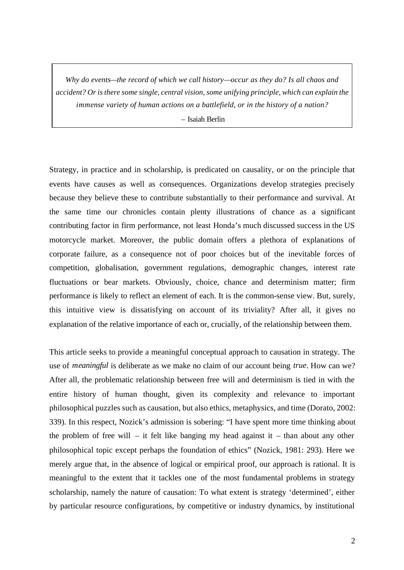*Why do events—the record of which we call history—occur as they do? Is all chaos and accident? Or is there some single, central vision, some unifying principle, which can explain the immense variety of human actions on a battlefield, or in the history of a nation?*

– Isaiah Berlin

Strategy, in practice and in scholarship, is predicated on causality, or on the principle that events have causes as well as consequences. Organizations develop strategies precisely because they believe these to contribute substantially to their performance and survival. At the same time our chronicles contain plenty illustrations of chance as a significant contributing factor in firm performance, not least Honda's much discussed success in the US motorcycle market. Moreover, the public domain offers a plethora of explanations of corporate failure, as a consequence not of poor choices but of the inevitable forces of competition, globalisation, government regulations, demographic changes, interest rate fluctuations or bear markets. Obviously, choice, chance and determinism matter; firm performance is likely to reflect an element of each. It is the common-sense view. But, surely, this intuitive view is dissatisfying on account of its triviality? After all, it gives no explanation of the relative importance of each or, crucially, of the relationship between them.

This article seeks to provide a meaningful conceptual approach to causation in strategy. The use of *meaningful* is deliberate as we make no claim of our account being *true*. How can we? After all, the problematic relationship between free will and determinism is tied in with the entire history of human thought, given its complexity and relevance to important philosophical puzzles such as causation, but also ethics, metaphysics, and time (Dorato, 2002: 339). In this respect, Nozick's admission is sobering: "I have spent more time thinking about the problem of free will – it felt like banging my head against it – than about any other philosophical topic except perhaps the foundation of ethics" (Nozick, 1981: 293). Here we merely argue that, in the absence of logical or empirical proof, our approach is rational. It is meaningful to the extent that it tackles one of the most fundamental problems in strategy scholarship, namely the nature of causation: To what extent is strategy 'determined', either by particular resource configurations, by competitive or industry dynamics, by institutional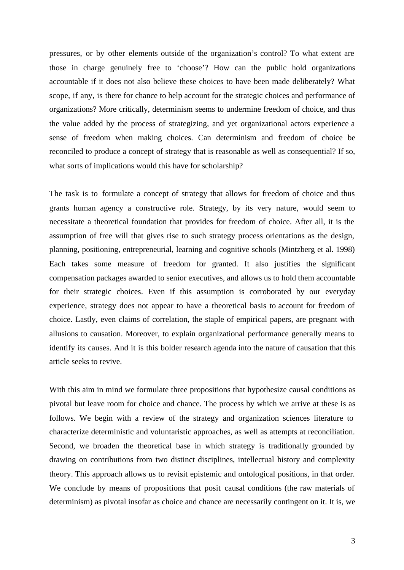pressures, or by other elements outside of the organization's control? To what extent are those in charge genuinely free to 'choose'? How can the public hold organizations accountable if it does not also believe these choices to have been made deliberately? What scope, if any, is there for chance to help account for the strategic choices and performance of organizations? More critically, determinism seems to undermine freedom of choice, and thus the value added by the process of strategizing, and yet organizational actors experience a sense of freedom when making choices. Can determinism and freedom of choice be reconciled to produce a concept of strategy that is reasonable as well as consequential? If so, what sorts of implications would this have for scholarship?

The task is to formulate a concept of strategy that allows for freedom of choice and thus grants human agency a constructive role. Strategy, by its very nature, would seem to necessitate a theoretical foundation that provides for freedom of choice. After all, it is the assumption of free will that gives rise to such strategy process orientations as the design, planning, positioning, entrepreneurial, learning and cognitive schools (Mintzberg et al. 1998) Each takes some measure of freedom for granted. It also justifies the significant compensation packages awarded to senior executives, and allows us to hold them accountable for their strategic choices. Even if this assumption is corroborated by our everyday experience, strategy does not appear to have a theoretical basis to account for freedom of choice. Lastly, even claims of correlation, the staple of empirical papers, are pregnant with allusions to causation. Moreover, to explain organizational performance generally means to identify its causes. And it is this bolder research agenda into the nature of causation that this article seeks to revive.

With this aim in mind we formulate three propositions that hypothesize causal conditions as pivotal but leave room for choice and chance. The process by which we arrive at these is as follows. We begin with a review of the strategy and organization sciences literature to characterize deterministic and voluntaristic approaches, as well as attempts at reconciliation. Second, we broaden the theoretical base in which strategy is traditionally grounded by drawing on contributions from two distinct disciplines, intellectual history and complexity theory. This approach allows us to revisit epistemic and ontological positions, in that order. We conclude by means of propositions that posit causal conditions (the raw materials of determinism) as pivotal insofar as choice and chance are necessarily contingent on it. It is, we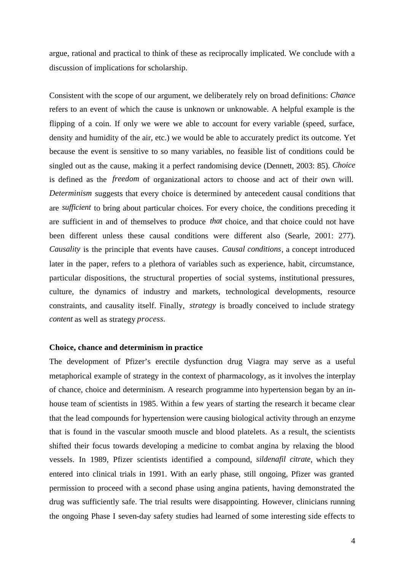argue, rational and practical to think of these as reciprocally implicated. We conclude with a discussion of implications for scholarship.

Consistent with the scope of our argument, we deliberately rely on broad definitions: *Chance* refers to an event of which the cause is unknown or unknowable. A helpful example is the flipping of a coin. If only we were we able to account for every variable (speed, surface, density and humidity of the air, etc.) we would be able to accurately predict its outcome. Yet because the event is sensitive to so many variables, no feasible list of conditions could be singled out as the cause, making it a perfect randomising device (Dennett, 2003: 85). *Choice* is defined as the *freedom* of organizational actors to choose and act of their own will. *Determinism* suggests that every choice is determined by antecedent causal conditions that are *sufficient* to bring about particular choices. For every choice, the conditions preceding it are sufficient in and of themselves to produce *that* choice, and that choice could not have been different unless these causal conditions were different also (Searle, 2001: 277). *Causality* is the principle that events have causes. *Causal conditions*, a concept introduced later in the paper, refers to a plethora of variables such as experience, habit, circumstance, particular dispositions, the structural properties of social systems, institutional pressures, culture, the dynamics of industry and markets, technological developments, resource constraints, and causality itself. Finally, *strategy* is broadly conceived to include strategy *content* as well as strategy *process.*

# **Choice, chance and determinism in practice**

The development of Pfizer's erectile dysfunction drug Viagra may serve as a useful metaphorical example of strategy in the context of pharmacology, as it involves the interplay of chance, choice and determinism. A research programme into hypertension began by an inhouse team of scientists in 1985. Within a few years of starting the research it became clear that the lead compounds for hypertension were causing biological activity through an enzyme that is found in the vascular smooth muscle and blood platelets. As a result, the scientists shifted their focus towards developing a medicine to combat angina by relaxing the blood vessels. In 1989, Pfizer scientists identified a compound, *sildenafil citrate*, which they entered into clinical trials in 1991. With an early phase, still ongoing, Pfizer was granted permission to proceed with a second phase using angina patients, having demonstrated the drug was sufficiently safe. The trial results were disappointing. However, clinicians running the ongoing Phase I seven-day safety studies had learned of some interesting side effects to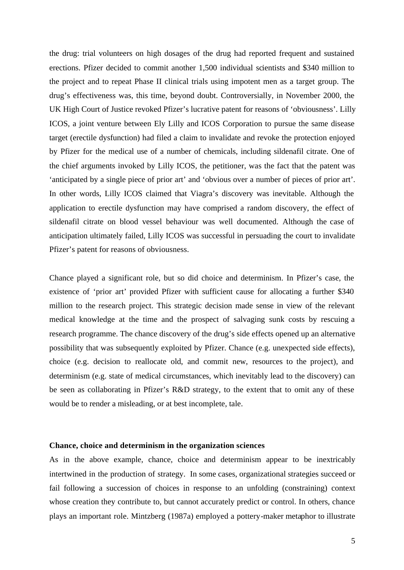the drug: trial volunteers on high dosages of the drug had reported frequent and sustained erections. Pfizer decided to commit another 1,500 individual scientists and \$340 million to the project and to repeat Phase II clinical trials using impotent men as a target group. The drug's effectiveness was, this time, beyond doubt. Controversially, in November 2000, the UK High Court of Justice revoked Pfizer's lucrative patent for reasons of 'obviousness'. Lilly ICOS, a joint venture between Ely Lilly and ICOS Corporation to pursue the same disease target (erectile dysfunction) had filed a claim to invalidate and revoke the protection enjoyed by Pfizer for the medical use of a number of chemicals, including sildenafil citrate. One of the chief arguments invoked by Lilly ICOS, the petitioner, was the fact that the patent was 'anticipated by a single piece of prior art' and 'obvious over a number of pieces of prior art'. In other words, Lilly ICOS claimed that Viagra's discovery was inevitable. Although the application to erectile dysfunction may have comprised a random discovery, the effect of sildenafil citrate on blood vessel behaviour was well documented. Although the case of anticipation ultimately failed, Lilly ICOS was successful in persuading the court to invalidate Pfizer's patent for reasons of obviousness.

Chance played a significant role, but so did choice and determinism. In Pfizer's case, the existence of 'prior art' provided Pfizer with sufficient cause for allocating a further \$340 million to the research project. This strategic decision made sense in view of the relevant medical knowledge at the time and the prospect of salvaging sunk costs by rescuing a research programme. The chance discovery of the drug's side effects opened up an alternative possibility that was subsequently exploited by Pfizer. Chance (e.g. unexpected side effects), choice (e.g. decision to reallocate old, and commit new, resources to the project), and determinism (e.g. state of medical circumstances, which inevitably lead to the discovery) can be seen as collaborating in Pfizer's R&D strategy, to the extent that to omit any of these would be to render a misleading, or at best incomplete, tale.

### **Chance, choice and determinism in the organization sciences**

As in the above example, chance, choice and determinism appear to be inextricably intertwined in the production of strategy. In some cases, organizational strategies succeed or fail following a succession of choices in response to an unfolding (constraining) context whose creation they contribute to, but cannot accurately predict or control. In others, chance plays an important role. Mintzberg (1987a) employed a pottery-maker metaphor to illustrate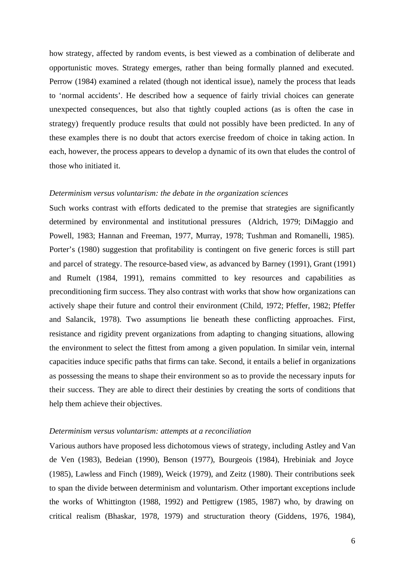how strategy, affected by random events, is best viewed as a combination of deliberate and opportunistic moves. Strategy emerges, rather than being formally planned and executed. Perrow (1984) examined a related (though not identical issue), namely the process that leads to 'normal accidents'. He described how a sequence of fairly trivial choices can generate unexpected consequences, but also that tightly coupled actions (as is often the case in strategy) frequently produce results that could not possibly have been predicted. In any of these examples there is no doubt that actors exercise freedom of choice in taking action. In each, however, the process appears to develop a dynamic of its own that eludes the control of those who initiated it.

#### *Determinism versus voluntarism: the debate in the organization sciences*

Such works contrast with efforts dedicated to the premise that strategies are significantly determined by environmental and institutional pressures (Aldrich, 1979; DiMaggio and Powell, 1983; Hannan and Freeman, 1977, Murray, 1978; Tushman and Romanelli, 1985). Porter's (1980) suggestion that profitability is contingent on five generic forces is still part and parcel of strategy. The resource-based view, as advanced by Barney (1991), Grant (1991) and Rumelt (1984, 1991), remains committed to key resources and capabilities as preconditioning firm success. They also contrast with works that show how organizations can actively shape their future and control their environment (Child, 1972; Pfeffer, 1982; Pfeffer and Salancik, 1978). Two assumptions lie beneath these conflicting approaches. First, resistance and rigidity prevent organizations from adapting to changing situations, allowing the environment to select the fittest from among a given population. In similar vein, internal capacities induce specific paths that firms can take. Second, it entails a belief in organizations as possessing the means to shape their environment so as to provide the necessary inputs for their success. They are able to direct their destinies by creating the sorts of conditions that help them achieve their objectives.

#### *Determinism versus voluntarism: attempts at a reconciliation*

Various authors have proposed less dichotomous views of strategy, including Astley and Van de Ven (1983), Bedeian (1990), Benson (1977), Bourgeois (1984), Hrebiniak and Joyce (1985), Lawless and Finch (1989), Weick (1979), and Zeitz (1980). Their contributions seek to span the divide between determinism and voluntarism. Other important exceptions include the works of Whittington (1988, 1992) and Pettigrew (1985, 1987) who, by drawing on critical realism (Bhaskar, 1978, 1979) and structuration theory (Giddens, 1976, 1984),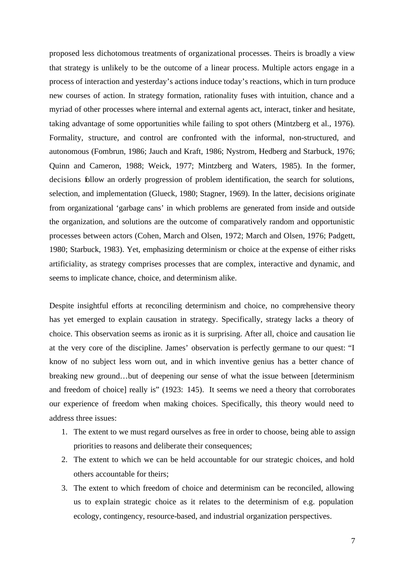proposed less dichotomous treatments of organizational processes. Theirs is broadly a view that strategy is unlikely to be the outcome of a linear process. Multiple actors engage in a process of interaction and yesterday's actions induce today's reactions, which in turn produce new courses of action. In strategy formation, rationality fuses with intuition, chance and a myriad of other processes where internal and external agents act, interact, tinker and hesitate, taking advantage of some opportunities while failing to spot others (Mintzberg et al., 1976). Formality, structure, and control are confronted with the informal, non-structured, and autonomous (Fombrun, 1986; Jauch and Kraft, 1986; Nystrom, Hedberg and Starbuck, 1976; Quinn and Cameron, 1988; Weick, 1977; Mintzberg and Waters, 1985). In the former, decisions follow an orderly progression of problem identification, the search for solutions, selection, and implementation (Glueck, 1980; Stagner, 1969). In the latter, decisions originate from organizational 'garbage cans' in which problems are generated from inside and outside the organization, and solutions are the outcome of comparatively random and opportunistic processes between actors (Cohen, March and Olsen, 1972; March and Olsen, 1976; Padgett, 1980; Starbuck, 1983). Yet, emphasizing determinism or choice at the expense of either risks artificiality, as strategy comprises processes that are complex, interactive and dynamic, and seems to implicate chance, choice, and determinism alike.

Despite insightful efforts at reconciling determinism and choice, no comprehensive theory has yet emerged to explain causation in strategy. Specifically, strategy lacks a theory of choice. This observation seems as ironic as it is surprising. After all, choice and causation lie at the very core of the discipline. James' observation is perfectly germane to our quest: "I know of no subject less worn out, and in which inventive genius has a better chance of breaking new ground…but of deepening our sense of what the issue between [determinism and freedom of choice] really is" (1923: 145). It seems we need a theory that corroborates our experience of freedom when making choices. Specifically, this theory would need to address three issues:

- 1. The extent to we must regard ourselves as free in order to choose, being able to assign priorities to reasons and deliberate their consequences;
- 2. The extent to which we can be held accountable for our strategic choices, and hold others accountable for theirs;
- 3. The extent to which freedom of choice and determinism can be reconciled, allowing us to explain strategic choice as it relates to the determinism of e.g. population ecology, contingency, resource-based, and industrial organization perspectives.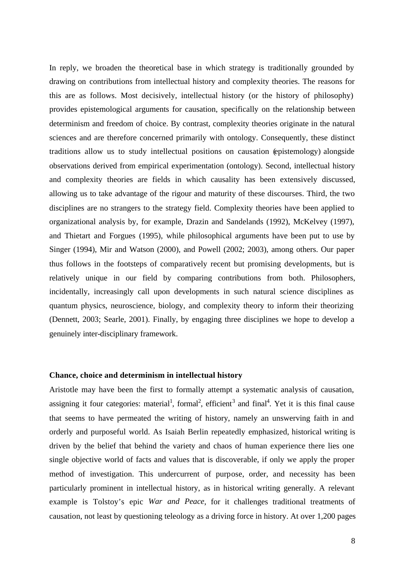In reply, we broaden the theoretical base in which strategy is traditionally grounded by drawing on contributions from intellectual history and complexity theories. The reasons for this are as follows. Most decisively, intellectual history (or the history of philosophy) provides epistemological arguments for causation, specifically on the relationship between determinism and freedom of choice. By contrast, complexity theories originate in the natural sciences and are therefore concerned primarily with ontology. Consequently, these distinct traditions allow us to study intellectual positions on causation (epistemology) alongside observations derived from empirical experimentation (ontology). Second, intellectual history and complexity theories are fields in which causality has been extensively discussed, allowing us to take advantage of the rigour and maturity of these discourses. Third, the two disciplines are no strangers to the strategy field. Complexity theories have been applied to organizational analysis by, for example, Drazin and Sandelands (1992), McKelvey (1997), and Thietart and Forgues (1995), while philosophical arguments have been put to use by Singer (1994), Mir and Watson (2000), and Powell (2002; 2003), among others. Our paper thus follows in the footsteps of comparatively recent but promising developments, but is relatively unique in our field by comparing contributions from both. Philosophers, incidentally, increasingly call upon developments in such natural science disciplines as quantum physics, neuroscience, biology, and complexity theory to inform their theorizing (Dennett, 2003; Searle, 2001). Finally, by engaging three disciplines we hope to develop a genuinely inter-disciplinary framework.

# **Chance, choice and determinism in intellectual history**

Aristotle may have been the first to formally attempt a systematic analysis of causation, assigning it four categories: material<sup>1</sup>, formal<sup>2</sup>, efficient<sup>3</sup> and final<sup>4</sup>. Yet it is this final cause that seems to have permeated the writing of history, namely an unswerving faith in and orderly and purposeful world. As Isaiah Berlin repeatedly emphasized, historical writing is driven by the belief that behind the variety and chaos of human experience there lies one single objective world of facts and values that is discoverable, if only we apply the proper method of investigation. This undercurrent of purpose, order, and necessity has been particularly prominent in intellectual history, as in historical writing generally. A relevant example is Tolstoy's epic *War and Peace*, for it challenges traditional treatments of causation, not least by questioning teleology as a driving force in history. At over 1,200 pages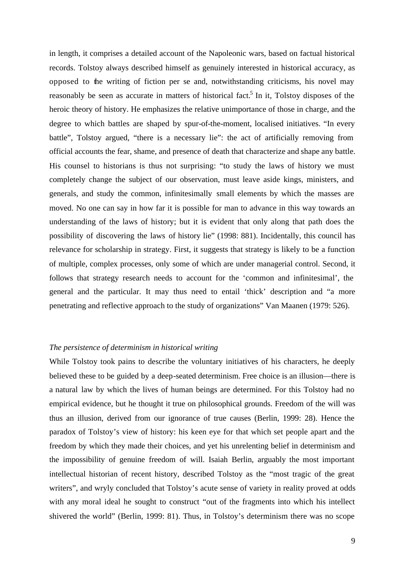in length, it comprises a detailed account of the Napoleonic wars, based on factual historical records. Tolstoy always described himself as genuinely interested in historical accuracy, as opposed to the writing of fiction per se and, notwithstanding criticisms, his novel may reasonably be seen as accurate in matters of historical fact.<sup>5</sup> In it, Tolstoy disposes of the heroic theory of history. He emphasizes the relative unimportance of those in charge, and the degree to which battles are shaped by spur-of-the-moment, localised initiatives. "In every battle", Tolstoy argued, "there is a necessary lie": the act of artificially removing from official accounts the fear, shame, and presence of death that characterize and shape any battle. His counsel to historians is thus not surprising: "to study the laws of history we must completely change the subject of our observation, must leave aside kings, ministers, and generals, and study the common, infinitesimally small elements by which the masses are moved. No one can say in how far it is possible for man to advance in this way towards an understanding of the laws of history; but it is evident that only along that path does the possibility of discovering the laws of history lie" (1998: 881). Incidentally, this council has relevance for scholarship in strategy. First, it suggests that strategy is likely to be a function of multiple, complex processes, only some of which are under managerial control. Second, it follows that strategy research needs to account for the 'common and infinitesimal', the general and the particular. It may thus need to entail 'thick' description and "a more penetrating and reflective approach to the study of organizations" Van Maanen (1979: 526).

# *The persistence of determinism in historical writing*

While Tolstoy took pains to describe the voluntary initiatives of his characters, he deeply believed these to be guided by a deep-seated determinism. Free choice is an illusion—there is a natural law by which the lives of human beings are determined. For this Tolstoy had no empirical evidence, but he thought it true on philosophical grounds. Freedom of the will was thus an illusion, derived from our ignorance of true causes (Berlin, 1999: 28). Hence the paradox of Tolstoy's view of history: his keen eye for that which set people apart and the freedom by which they made their choices, and yet his unrelenting belief in determinism and the impossibility of genuine freedom of will. Isaiah Berlin, arguably the most important intellectual historian of recent history, described Tolstoy as the "most tragic of the great writers", and wryly concluded that Tolstoy's acute sense of variety in reality proved at odds with any moral ideal he sought to construct "out of the fragments into which his intellect shivered the world" (Berlin, 1999: 81). Thus, in Tolstoy's determinism there was no scope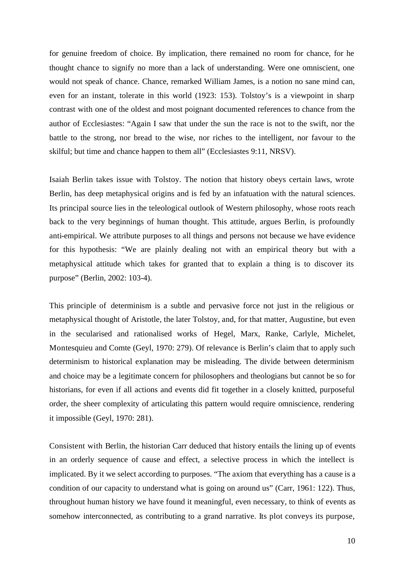for genuine freedom of choice. By implication, there remained no room for chance, for he thought chance to signify no more than a lack of understanding. Were one omniscient, one would not speak of chance. Chance, remarked William James, is a notion no sane mind can, even for an instant, tolerate in this world (1923: 153). Tolstoy's is a viewpoint in sharp contrast with one of the oldest and most poignant documented references to chance from the author of Ecclesiastes: "Again I saw that under the sun the race is not to the swift, nor the battle to the strong, nor bread to the wise, nor riches to the intelligent, nor favour to the skilful; but time and chance happen to them all" (Ecclesiastes 9:11, NRSV).

Isaiah Berlin takes issue with Tolstoy. The notion that history obeys certain laws, wrote Berlin, has deep metaphysical origins and is fed by an infatuation with the natural sciences. Its principal source lies in the teleological outlook of Western philosophy, whose roots reach back to the very beginnings of human thought. This attitude, argues Berlin, is profoundly anti-empirical. We attribute purposes to all things and persons not because we have evidence for this hypothesis: "We are plainly dealing not with an empirical theory but with a metaphysical attitude which takes for granted that to explain a thing is to discover its purpose" (Berlin, 2002: 103-4).

This principle of determinism is a subtle and pervasive force not just in the religious or metaphysical thought of Aristotle, the later Tolstoy, and, for that matter, Augustine, but even in the secularised and rationalised works of Hegel, Marx, Ranke, Carlyle, Michelet, Montesquieu and Comte (Geyl, 1970: 279). Of relevance is Berlin's claim that to apply such determinism to historical explanation may be misleading. The divide between determinism and choice may be a legitimate concern for philosophers and theologians but cannot be so for historians, for even if all actions and events did fit together in a closely knitted, purposeful order, the sheer complexity of articulating this pattern would require omniscience, rendering it impossible (Geyl, 1970: 281).

Consistent with Berlin, the historian Carr deduced that history entails the lining up of events in an orderly sequence of cause and effect, a selective process in which the intellect is implicated. By it we select according to purposes. "The axiom that everything has a cause is a condition of our capacity to understand what is going on around us" (Carr, 1961: 122). Thus, throughout human history we have found it meaningful, even necessary, to think of events as somehow interconnected, as contributing to a grand narrative. Its plot conveys its purpose,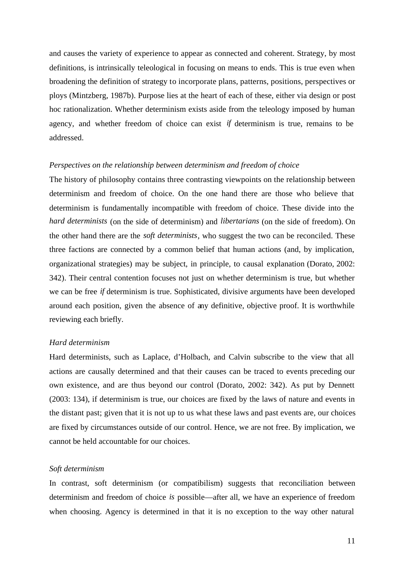and causes the variety of experience to appear as connected and coherent. Strategy, by most definitions, is intrinsically teleological in focusing on means to ends. This is true even when broadening the definition of strategy to incorporate plans, patterns, positions, perspectives or ploys (Mintzberg, 1987b). Purpose lies at the heart of each of these, either via design or post hoc rationalization. Whether determinism exists aside from the teleology imposed by human agency, and whether freedom of choice can exist *if* determinism is true, remains to be addressed.

#### *Perspectives on the relationship between determinism and freedom of choice*

The history of philosophy contains three contrasting viewpoints on the relationship between determinism and freedom of choice. On the one hand there are those who believe that determinism is fundamentally incompatible with freedom of choice. These divide into the *hard determinists* (on the side of determinism) and *libertarians* (on the side of freedom). On the other hand there are the *soft determinists*, who suggest the two can be reconciled. These three factions are connected by a common belief that human actions (and, by implication, organizational strategies) may be subject, in principle, to causal explanation (Dorato, 2002: 342). Their central contention focuses not just on whether determinism is true, but whether we can be free *if* determinism is true. Sophisticated, divisive arguments have been developed around each position, given the absence of any definitive, objective proof. It is worthwhile reviewing each briefly.

# *Hard determinism*

Hard determinists, such as Laplace, d'Holbach, and Calvin subscribe to the view that all actions are causally determined and that their causes can be traced to events preceding our own existence, and are thus beyond our control (Dorato, 2002: 342). As put by Dennett (2003: 134), if determinism is true, our choices are fixed by the laws of nature and events in the distant past; given that it is not up to us what these laws and past events are, our choices are fixed by circumstances outside of our control. Hence, we are not free. By implication, we cannot be held accountable for our choices.

#### *Soft determinism*

In contrast, soft determinism (or compatibilism) suggests that reconciliation between determinism and freedom of choice *is* possible—after all, we have an experience of freedom when choosing. Agency is determined in that it is no exception to the way other natural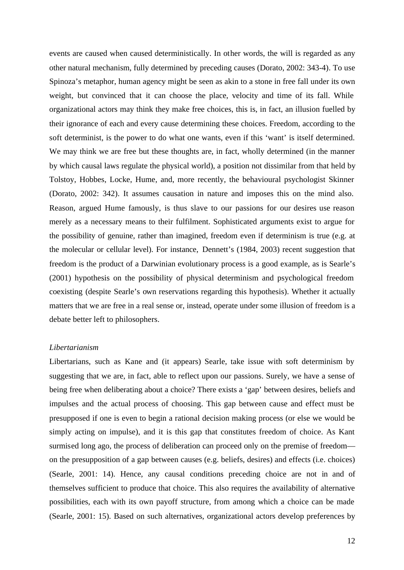events are caused when caused deterministically. In other words, the will is regarded as any other natural mechanism, fully determined by preceding causes (Dorato, 2002: 343-4). To use Spinoza's metaphor, human agency might be seen as akin to a stone in free fall under its own weight, but convinced that it can choose the place, velocity and time of its fall. While organizational actors may think they make free choices, this is, in fact, an illusion fuelled by their ignorance of each and every cause determining these choices. Freedom, according to the soft determinist, is the power to do what one wants, even if this 'want' is itself determined. We may think we are free but these thoughts are, in fact, wholly determined (in the manner by which causal laws regulate the physical world), a position not dissimilar from that held by Tolstoy, Hobbes, Locke, Hume, and, more recently, the behavioural psychologist Skinner (Dorato, 2002: 342). It assumes causation in nature and imposes this on the mind also. Reason, argued Hume famously, is thus slave to our passions for our desires use reason merely as a necessary means to their fulfilment. Sophisticated arguments exist to argue for the possibility of genuine, rather than imagined, freedom even if determinism is true (e.g. at the molecular or cellular level). For instance, Dennett's (1984, 2003) recent suggestion that freedom is the product of a Darwinian evolutionary process is a good example, as is Searle's (2001) hypothesis on the possibility of physical determinism and psychological freedom coexisting (despite Searle's own reservations regarding this hypothesis). Whether it actually matters that we are free in a real sense or, instead, operate under some illusion of freedom is a debate better left to philosophers.

# *Libertarianism*

Libertarians, such as Kane and (it appears) Searle, take issue with soft determinism by suggesting that we are, in fact, able to reflect upon our passions. Surely, we have a sense of being free when deliberating about a choice? There exists a 'gap' between desires, beliefs and impulses and the actual process of choosing. This gap between cause and effect must be presupposed if one is even to begin a rational decision making process (or else we would be simply acting on impulse), and it is this gap that constitutes freedom of choice. As Kant surmised long ago, the process of deliberation can proceed only on the premise of freedom on the presupposition of a gap between causes (e.g. beliefs, desires) and effects (i.e. choices) (Searle, 2001: 14). Hence, any causal conditions preceding choice are not in and of themselves sufficient to produce that choice. This also requires the availability of alternative possibilities, each with its own payoff structure, from among which a choice can be made (Searle, 2001: 15). Based on such alternatives, organizational actors develop preferences by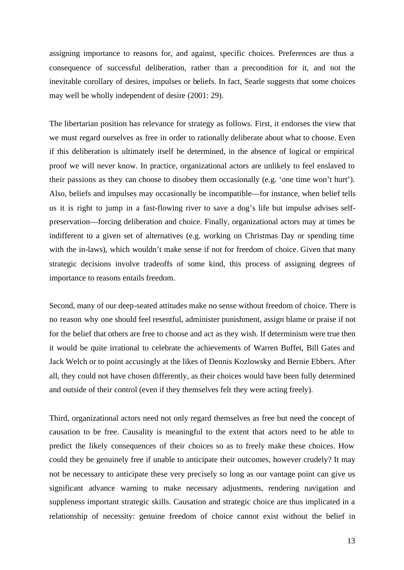assigning importance to reasons for, and against, specific choices. Preferences are thus a consequence of successful deliberation, rather than a precondition for it, and not the inevitable corollary of desires, impulses or beliefs. In fact, Searle suggests that some choices may well be wholly independent of desire (2001: 29).

The libertarian position has relevance for strategy as follows. First, it endorses the view that we must regard ourselves as free in order to rationally deliberate about what to choose. Even if this deliberation is ultimately itself be determined, in the absence of logical or empirical proof we will never know. In practice, organizational actors are unlikely to feel enslaved to their passions as they can choose to disobey them occasionally (e.g. 'one time won't hurt'). Also, beliefs and impulses may occasionally be incompatible—for instance, when belief tells us it is right to jump in a fast-flowing river to save a dog's life but impulse advises selfpreservation—forcing deliberation and choice. Finally, organizational actors may at times be indifferent to a given set of alternatives (e.g. working on Christmas Day or spending time with the in-laws), which wouldn't make sense if not for freedom of choice. Given that many strategic decisions involve tradeoffs of some kind, this process of assigning degrees of importance to reasons entails freedom.

Second, many of our deep-seated attitudes make no sense without freedom of choice. There is no reason why one should feel resentful, administer punishment, assign blame or praise if not for the belief that others are free to choose and act as they wish. If determinism were true then it would be quite irrational to celebrate the achievements of Warren Buffet, Bill Gates and Jack Welch or to point accusingly at the likes of Dennis Kozlowsky and Bernie Ebbers. After all, they could not have chosen differently, as their choices would have been fully determined and outside of their control (even if they themselves felt they were acting freely).

Third, organizational actors need not only regard themselves as free but need the concept of causation to be free. Causality is meaningful to the extent that actors need to be able to predict the likely consequences of their choices so as to freely make these choices. How could they be genuinely free if unable to anticipate their outcomes, however crudely? It may not be necessary to anticipate these very precisely so long as our vantage point can give us significant advance warning to make necessary adjustments, rendering navigation and suppleness important strategic skills. Causation and strategic choice are thus implicated in a relationship of necessity: genuine freedom of choice cannot exist without the belief in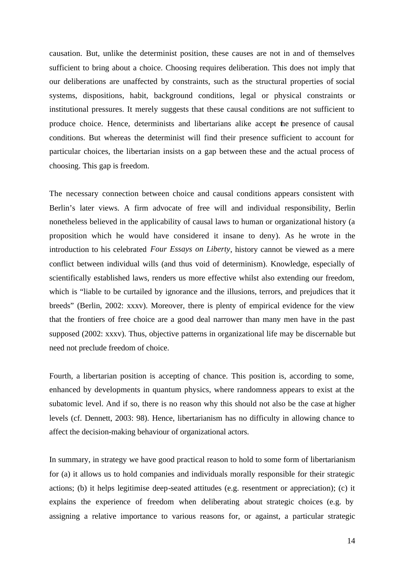causation. But, unlike the determinist position, these causes are not in and of themselves sufficient to bring about a choice. Choosing requires deliberation. This does not imply that our deliberations are unaffected by constraints, such as the structural properties of social systems, dispositions, habit, background conditions, legal or physical constraints or institutional pressures. It merely suggests that these causal conditions are not sufficient to produce choice. Hence, determinists and libertarians alike accept the presence of causal conditions. But whereas the determinist will find their presence sufficient to account for particular choices, the libertarian insists on a gap between these and the actual process of choosing. This gap is freedom.

The necessary connection between choice and causal conditions appears consistent with Berlin's later views. A firm advocate of free will and individual responsibility, Berlin nonetheless believed in the applicability of causal laws to human or organizational history (a proposition which he would have considered it insane to deny). As he wrote in the introduction to his celebrated *Four Essays on Liberty*, history cannot be viewed as a mere conflict between individual wills (and thus void of determinism). Knowledge, especially of scientifically established laws, renders us more effective whilst also extending our freedom, which is "liable to be curtailed by ignorance and the illusions, terrors, and prejudices that it breeds" (Berlin, 2002: xxxv). Moreover, there is plenty of empirical evidence for the view that the frontiers of free choice are a good deal narrower than many men have in the past supposed (2002: xxxv). Thus, objective patterns in organizational life may be discernable but need not preclude freedom of choice.

Fourth, a libertarian position is accepting of chance. This position is, according to some, enhanced by developments in quantum physics, where randomness appears to exist at the subatomic level. And if so, there is no reason why this should not also be the case at higher levels (cf. Dennett, 2003: 98). Hence, libertarianism has no difficulty in allowing chance to affect the decision-making behaviour of organizational actors.

In summary, in strategy we have good practical reason to hold to some form of libertarianism for (a) it allows us to hold companies and individuals morally responsible for their strategic actions; (b) it helps legitimise deep-seated attitudes (e.g. resentment or appreciation); (c) it explains the experience of freedom when deliberating about strategic choices (e.g. by assigning a relative importance to various reasons for, or against, a particular strategic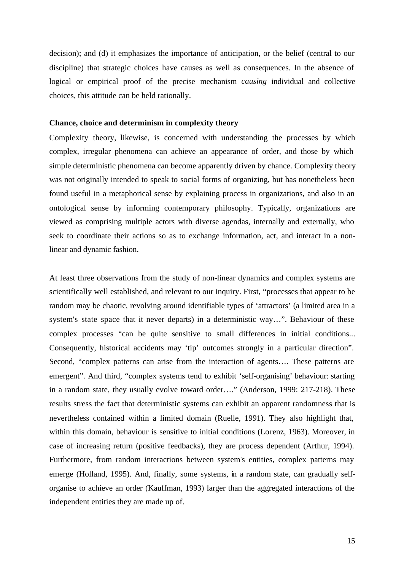decision); and (d) it emphasizes the importance of anticipation, or the belief (central to our discipline) that strategic choices have causes as well as consequences. In the absence of logical or empirical proof of the precise mechanism *causing* individual and collective choices, this attitude can be held rationally.

# **Chance, choice and determinism in complexity theory**

Complexity theory, likewise, is concerned with understanding the processes by which complex, irregular phenomena can achieve an appearance of order, and those by which simple deterministic phenomena can become apparently driven by chance. Complexity theory was not originally intended to speak to social forms of organizing, but has nonetheless been found useful in a metaphorical sense by explaining process in organizations, and also in an ontological sense by informing contemporary philosophy. Typically, organizations are viewed as comprising multiple actors with diverse agendas, internally and externally, who seek to coordinate their actions so as to exchange information, act, and interact in a nonlinear and dynamic fashion.

At least three observations from the study of non-linear dynamics and complex systems are scientifically well established, and relevant to our inquiry. First, "processes that appear to be random may be chaotic, revolving around identifiable types of 'attractors' (a limited area in a system's state space that it never departs) in a deterministic way…". Behaviour of these complex processes "can be quite sensitive to small differences in initial conditions... Consequently, historical accidents may 'tip' outcomes strongly in a particular direction". Second, "complex patterns can arise from the interaction of agents…. These patterns are emergent". And third, "complex systems tend to exhibit 'self-organising' behaviour: starting in a random state, they usually evolve toward order…." (Anderson, 1999: 217-218). These results stress the fact that deterministic systems can exhibit an apparent randomness that is nevertheless contained within a limited domain (Ruelle, 1991). They also highlight that, within this domain, behaviour is sensitive to initial conditions (Lorenz, 1963). Moreover, in case of increasing return (positive feedbacks), they are process dependent (Arthur, 1994). Furthermore, from random interactions between system's entities, complex patterns may emerge (Holland, 1995). And, finally, some systems, in a random state, can gradually selforganise to achieve an order (Kauffman, 1993) larger than the aggregated interactions of the independent entities they are made up of.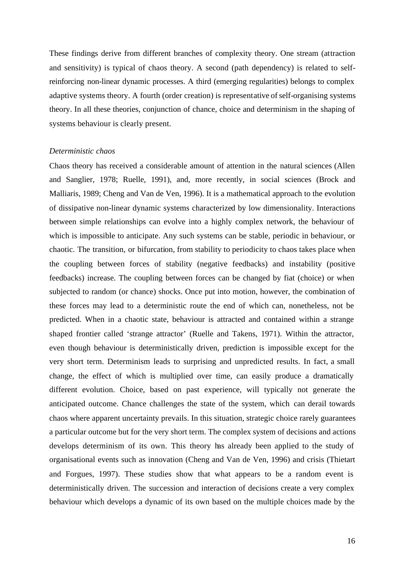These findings derive from different branches of complexity theory. One stream (attraction and sensitivity) is typical of chaos theory. A second (path dependency) is related to selfreinforcing non-linear dynamic processes. A third (emerging regularities) belongs to complex adaptive systems theory. A fourth (order creation) is representative of self-organising systems theory. In all these theories, conjunction of chance, choice and determinism in the shaping of systems behaviour is clearly present.

### *Deterministic chaos*

Chaos theory has received a considerable amount of attention in the natural sciences (Allen and Sanglier, 1978; Ruelle, 1991), and, more recently, in social sciences (Brock and Malliaris, 1989; Cheng and Van de Ven, 1996). It is a mathematical approach to the evolution of dissipative non-linear dynamic systems characterized by low dimensionality. Interactions between simple relationships can evolve into a highly complex network, the behaviour of which is impossible to anticipate. Any such systems can be stable, periodic in behaviour, or chaotic. The transition, or bifurcation, from stability to periodicity to chaos takes place when the coupling between forces of stability (negative feedbacks) and instability (positive feedbacks) increase. The coupling between forces can be changed by fiat (choice) or when subjected to random (or chance) shocks. Once put into motion, however, the combination of these forces may lead to a deterministic route the end of which can, nonetheless, not be predicted. When in a chaotic state, behaviour is attracted and contained within a strange shaped frontier called 'strange attractor' (Ruelle and Takens, 1971). Within the attractor, even though behaviour is deterministically driven, prediction is impossible except for the very short term. Determinism leads to surprising and unpredicted results. In fact, a small change, the effect of which is multiplied over time, can easily produce a dramatically different evolution. Choice, based on past experience, will typically not generate the anticipated outcome. Chance challenges the state of the system, which can derail towards chaos where apparent uncertainty prevails. In this situation, strategic choice rarely guarantees a particular outcome but for the very short term. The complex system of decisions and actions develops determinism of its own. This theory has already been applied to the study of organisational events such as innovation (Cheng and Van de Ven, 1996) and crisis (Thietart and Forgues, 1997). These studies show that what appears to be a random event is deterministically driven. The succession and interaction of decisions create a very complex behaviour which develops a dynamic of its own based on the multiple choices made by the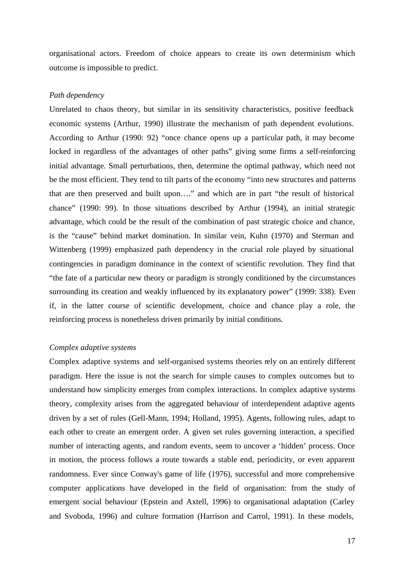organisational actors. Freedom of choice appears to create its own determinism which outcome is impossible to predict.

# *Path dependency*

Unrelated to chaos theory, but similar in its sensitivity characteristics, positive feedback economic systems (Arthur, 1990) illustrate the mechanism of path dependent evolutions. According to Arthur (1990: 92) "once chance opens up a particular path, it may become locked in regardless of the advantages of other paths" giving some firms a self-reinforcing initial advantage. Small perturbations, then, determine the optimal pathway, which need not be the most efficient. They tend to tilt parts of the economy "into new structures and patterns that are then preserved and built upon…." and which are in part "the result of historical chance" (1990: 99). In those situations described by Arthur (1994), an initial strategic advantage, which could be the result of the combination of past strategic choice and chance, is the "cause" behind market domination. In similar vein, Kuhn (1970) and Sterman and Wittenberg (1999) emphasized path dependency in the crucial role played by situational contingencies in paradigm dominance in the context of scientific revolution. They find that "the fate of a particular new theory or paradigm is strongly conditioned by the circumstances surrounding its creation and weakly influenced by its explanatory power" (1999: 338). Even if, in the latter course of scientific development, choice and chance play a role, the reinforcing process is nonetheless driven primarily by initial conditions.

#### *Complex adaptive systems*

Complex adaptive systems and self-organised systems theories rely on an entirely different paradigm. Here the issue is not the search for simple causes to complex outcomes but to understand how simplicity emerges from complex interactions. In complex adaptive systems theory, complexity arises from the aggregated behaviour of interdependent adaptive agents driven by a set of rules (Gell-Mann, 1994; Holland, 1995). Agents, following rules, adapt to each other to create an emergent order. A given set rules governing interaction, a specified number of interacting agents, and random events, seem to uncover a 'hidden' process. Once in motion, the process follows a route towards a stable end, periodicity, or even apparent randomness. Ever since Conway's game of life (1976), successful and more comprehensive computer applications have developed in the field of organisation: from the study of emergent social behaviour (Epstein and Axtell, 1996) to organisational adaptation (Carley and Svoboda, 1996) and culture formation (Harrison and Carrol, 1991). In these models,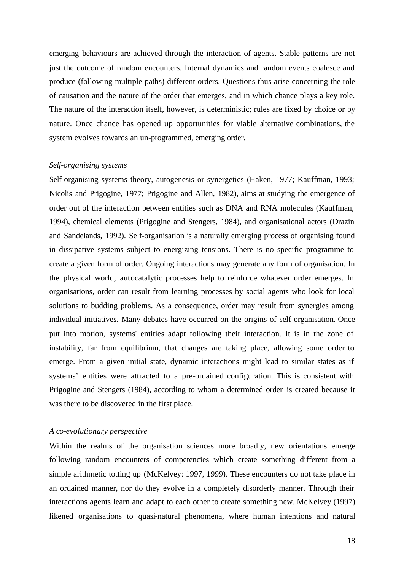emerging behaviours are achieved through the interaction of agents. Stable patterns are not just the outcome of random encounters. Internal dynamics and random events coalesce and produce (following multiple paths) different orders. Questions thus arise concerning the role of causation and the nature of the order that emerges, and in which chance plays a key role. The nature of the interaction itself, however, is deterministic; rules are fixed by choice or by nature. Once chance has opened up opportunities for viable alternative combinations, the system evolves towards an un-programmed, emerging order.

#### *Self-organising systems*

Self-organising systems theory, autogenesis or synergetics (Haken, 1977; Kauffman, 1993; Nicolis and Prigogine, 1977; Prigogine and Allen, 1982), aims at studying the emergence of order out of the interaction between entities such as DNA and RNA molecules (Kauffman, 1994), chemical elements (Prigogine and Stengers, 1984), and organisational actors (Drazin and Sandelands, 1992). Self-organisation is a naturally emerging process of organising found in dissipative systems subject to energizing tensions. There is no specific programme to create a given form of order. Ongoing interactions may generate any form of organisation. In the physical world, autocatalytic processes help to reinforce whatever order emerges. In organisations, order can result from learning processes by social agents who look for local solutions to budding problems. As a consequence, order may result from synergies among individual initiatives. Many debates have occurred on the origins of self-organisation. Once put into motion, systems' entities adapt following their interaction. It is in the zone of instability, far from equilibrium, that changes are taking place, allowing some order to emerge. From a given initial state, dynamic interactions might lead to similar states as if systems' entities were attracted to a pre-ordained configuration. This is consistent with Prigogine and Stengers (1984), according to whom a determined order is created because it was there to be discovered in the first place.

#### *A co-evolutionary perspective*

Within the realms of the organisation sciences more broadly, new orientations emerge following random encounters of competencies which create something different from a simple arithmetic totting up (McKelvey: 1997, 1999). These encounters do not take place in an ordained manner, nor do they evolve in a completely disorderly manner. Through their interactions agents learn and adapt to each other to create something new. McKelvey (1997) likened organisations to quasi-natural phenomena, where human intentions and natural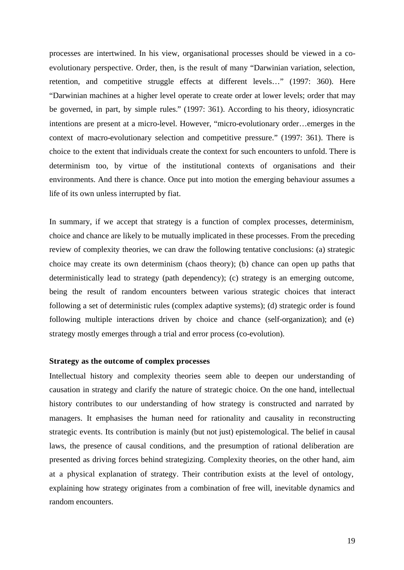processes are intertwined. In his view, organisational processes should be viewed in a coevolutionary perspective. Order, then, is the result of many "Darwinian variation, selection, retention, and competitive struggle effects at different levels…" (1997: 360). Here "Darwinian machines at a higher level operate to create order at lower levels; order that may be governed, in part, by simple rules." (1997: 361). According to his theory, idiosyncratic intentions are present at a micro-level. However, "micro-evolutionary order…emerges in the context of macro-evolutionary selection and competitive pressure." (1997: 361). There is choice to the extent that individuals create the context for such encounters to unfold. There is determinism too, by virtue of the institutional contexts of organisations and their environments. And there is chance. Once put into motion the emerging behaviour assumes a life of its own unless interrupted by fiat.

In summary, if we accept that strategy is a function of complex processes, determinism, choice and chance are likely to be mutually implicated in these processes. From the preceding review of complexity theories, we can draw the following tentative conclusions: (a) strategic choice may create its own determinism (chaos theory); (b) chance can open up paths that deterministically lead to strategy (path dependency); (c) strategy is an emerging outcome, being the result of random encounters between various strategic choices that interact following a set of deterministic rules (complex adaptive systems); (d) strategic order is found following multiple interactions driven by choice and chance (self-organization); and (e) strategy mostly emerges through a trial and error process (co-evolution).

# **Strategy as the outcome of complex processes**

Intellectual history and complexity theories seem able to deepen our understanding of causation in strategy and clarify the nature of strategic choice. On the one hand, intellectual history contributes to our understanding of how strategy is constructed and narrated by managers. It emphasises the human need for rationality and causality in reconstructing strategic events. Its contribution is mainly (but not just) epistemological. The belief in causal laws, the presence of causal conditions, and the presumption of rational deliberation are presented as driving forces behind strategizing. Complexity theories, on the other hand, aim at a physical explanation of strategy. Their contribution exists at the level of ontology, explaining how strategy originates from a combination of free will, inevitable dynamics and random encounters.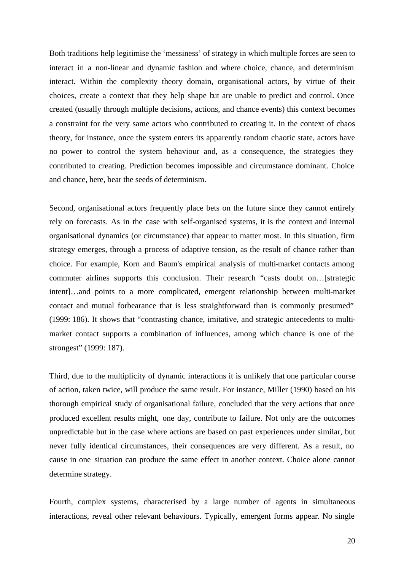Both traditions help legitimise the 'messiness' of strategy in which multiple forces are seen to interact in a non-linear and dynamic fashion and where choice, chance, and determinism interact. Within the complexity theory domain, organisational actors, by virtue of their choices, create a context that they help shape but are unable to predict and control. Once created (usually through multiple decisions, actions, and chance events) this context becomes a constraint for the very same actors who contributed to creating it. In the context of chaos theory, for instance, once the system enters its apparently random chaotic state, actors have no power to control the system behaviour and, as a consequence, the strategies they contributed to creating. Prediction becomes impossible and circumstance dominant. Choice and chance, here, bear the seeds of determinism.

Second, organisational actors frequently place bets on the future since they cannot entirely rely on forecasts. As in the case with self-organised systems, it is the context and internal organisational dynamics (or circumstance) that appear to matter most. In this situation, firm strategy emerges, through a process of adaptive tension, as the result of chance rather than choice. For example, Korn and Baum's empirical analysis of multi-market contacts among commuter airlines supports this conclusion. Their research "casts doubt on…[strategic intent]…and points to a more complicated, emergent relationship between multi-market contact and mutual forbearance that is less straightforward than is commonly presumed" (1999: 186). It shows that "contrasting chance, imitative, and strategic antecedents to multimarket contact supports a combination of influences, among which chance is one of the strongest" (1999: 187).

Third, due to the multiplicity of dynamic interactions it is unlikely that one particular course of action, taken twice, will produce the same result. For instance, Miller (1990) based on his thorough empirical study of organisational failure, concluded that the very actions that once produced excellent results might, one day, contribute to failure. Not only are the outcomes unpredictable but in the case where actions are based on past experiences under similar, but never fully identical circumstances, their consequences are very different. As a result, no cause in one situation can produce the same effect in another context. Choice alone cannot determine strategy.

Fourth, complex systems, characterised by a large number of agents in simultaneous interactions, reveal other relevant behaviours. Typically, emergent forms appear. No single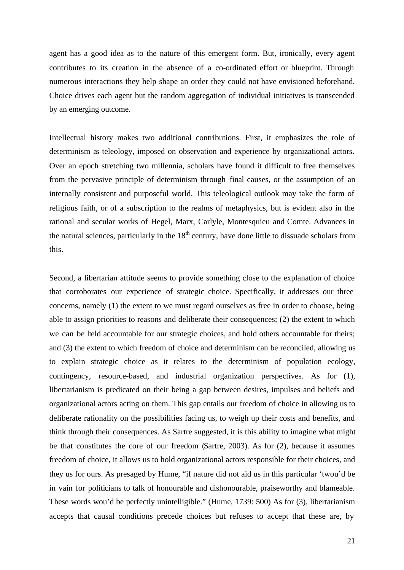agent has a good idea as to the nature of this emergent form. But, ironically, every agent contributes to its creation in the absence of a co-ordinated effort or blueprint. Through numerous interactions they help shape an order they could not have envisioned beforehand. Choice drives each agent but the random aggregation of individual initiatives is transcended by an emerging outcome.

Intellectual history makes two additional contributions. First, it emphasizes the role of determinism as teleology, imposed on observation and experience by organizational actors. Over an epoch stretching two millennia, scholars have found it difficult to free themselves from the pervasive principle of determinism through final causes, or the assumption of an internally consistent and purposeful world. This teleological outlook may take the form of religious faith, or of a subscription to the realms of metaphysics, but is evident also in the rational and secular works of Hegel, Marx, Carlyle, Montesquieu and Comte. Advances in the natural sciences, particularly in the  $18<sup>th</sup>$  century, have done little to dissuade scholars from this.

Second, a libertarian attitude seems to provide something close to the explanation of choice that corroborates our experience of strategic choice. Specifically, it addresses our three concerns, namely (1) the extent to we must regard ourselves as free in order to choose, being able to assign priorities to reasons and deliberate their consequences; (2) the extent to which we can be held accountable for our strategic choices, and hold others accountable for theirs; and (3) the extent to which freedom of choice and determinism can be reconciled, allowing us to explain strategic choice as it relates to the determinism of population ecology, contingency, resource-based, and industrial organization perspectives. As for (1), libertarianism is predicated on their being a gap between desires, impulses and beliefs and organizational actors acting on them. This gap entails our freedom of choice in allowing us to deliberate rationality on the possibilities facing us, to weigh up their costs and benefits, and think through their consequences. As Sartre suggested, it is this ability to imagine what might be that constitutes the core of our freedom (Sartre, 2003). As for (2), because it assumes freedom of choice, it allows us to hold organizational actors responsible for their choices, and they us for ours. As presaged by Hume, "if nature did not aid us in this particular 'twou'd be in vain for politicians to talk of honourable and dishonourable, praiseworthy and blameable. These words wou'd be perfectly unintelligible." (Hume, 1739: 500) As for (3), libertarianism accepts that causal conditions precede choices but refuses to accept that these are, by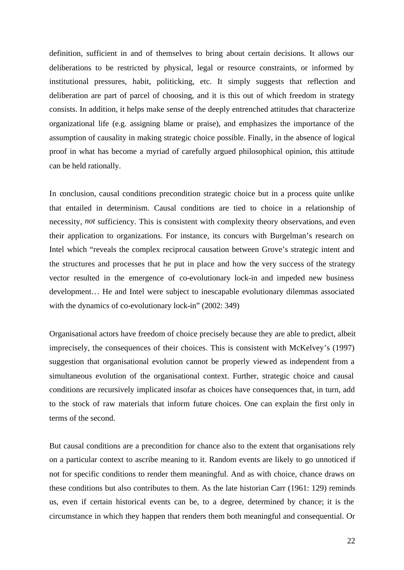definition, sufficient in and of themselves to bring about certain decisions. It allows our deliberations to be restricted by physical, legal or resource constraints, or informed by institutional pressures, habit, politicking, etc. It simply suggests that reflection and deliberation are part of parcel of choosing, and it is this out of which freedom in strategy consists. In addition, it helps make sense of the deeply entrenched attitudes that characterize organizational life (e.g. assigning blame or praise), and emphasizes the importance of the assumption of causality in making strategic choice possible. Finally, in the absence of logical proof in what has become a myriad of carefully argued philosophical opinion, this attitude can be held rationally.

In conclusion, causal conditions precondition strategic choice but in a process quite unlike that entailed in determinism. Causal conditions are tied to choice in a relationship of necessity, *not* sufficiency. This is consistent with complexity theory observations, and even their application to organizations. For instance, its concurs with Burgelman's research on Intel which "reveals the complex reciprocal causation between Grove's strategic intent and the structures and processes that he put in place and how the very success of the strategy vector resulted in the emergence of co-evolutionary lock-in and impeded new business development… He and Intel were subject to inescapable evolutionary dilemmas associated with the dynamics of co-evolutionary lock-in" (2002: 349)

Organisational actors have freedom of choice precisely because they are able to predict, albeit imprecisely, the consequences of their choices. This is consistent with McKelvey's (1997) suggestion that organisational evolution cannot be properly viewed as independent from a simultaneous evolution of the organisational context. Further, strategic choice and causal conditions are recursively implicated insofar as choices have consequences that, in turn, add to the stock of raw materials that inform future choices. One can explain the first only in terms of the second.

But causal conditions are a precondition for chance also to the extent that organisations rely on a particular context to ascribe meaning to it. Random events are likely to go unnoticed if not for specific conditions to render them meaningful. And as with choice, chance draws on these conditions but also contributes to them. As the late historian Carr (1961: 129) reminds us, even if certain historical events can be, to a degree, determined by chance; it is the circumstance in which they happen that renders them both meaningful and consequential. Or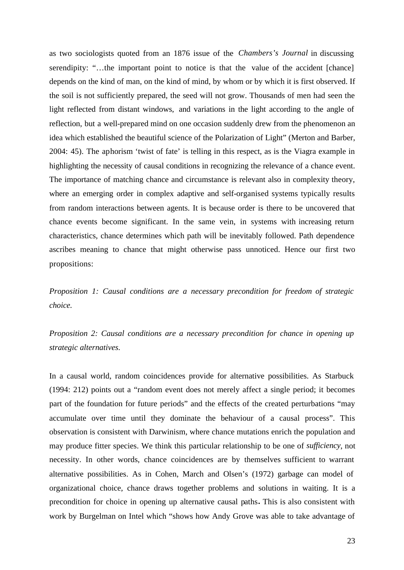as two sociologists quoted from an 1876 issue of the *Chambers's Journal* in discussing serendipity: "...the important point to notice is that the value of the accident [chance] depends on the kind of man, on the kind of mind, by whom or by which it is first observed. If the soil is not sufficiently prepared, the seed will not grow. Thousands of men had seen the light reflected from distant windows, and variations in the light according to the angle of reflection, but a well-prepared mind on one occasion suddenly drew from the phenomenon an idea which established the beautiful science of the Polarization of Light" (Merton and Barber, 2004: 45). The aphorism 'twist of fate' is telling in this respect, as is the Viagra example in highlighting the necessity of causal conditions in recognizing the relevance of a chance event. The importance of matching chance and circumstance is relevant also in complexity theory, where an emerging order in complex adaptive and self-organised systems typically results from random interactions between agents. It is because order is there to be uncovered that chance events become significant. In the same vein, in systems with increasing return characteristics, chance determines which path will be inevitably followed. Path dependence ascribes meaning to chance that might otherwise pass unnoticed. Hence our first two propositions:

*Proposition 1: Causal conditions are a necessary precondition for freedom of strategic choice.* 

*Proposition 2: Causal conditions are a necessary precondition for chance in opening up strategic alternatives.* 

In a causal world, random coincidences provide for alternative possibilities. As Starbuck (1994: 212) points out a "random event does not merely affect a single period; it becomes part of the foundation for future periods" and the effects of the created perturbations "may accumulate over time until they dominate the behaviour of a causal process". This observation is consistent with Darwinism, where chance mutations enrich the population and may produce fitter species. We think this particular relationship to be one of *sufficiency*, not necessity. In other words, chance coincidences are by themselves sufficient to warrant alternative possibilities. As in Cohen, March and Olsen's (1972) garbage can model of organizational choice, chance draws together problems and solutions in waiting. It is a precondition for choice in opening up alternative causal paths**.** This is also consistent with work by Burgelman on Intel which "shows how Andy Grove was able to take advantage of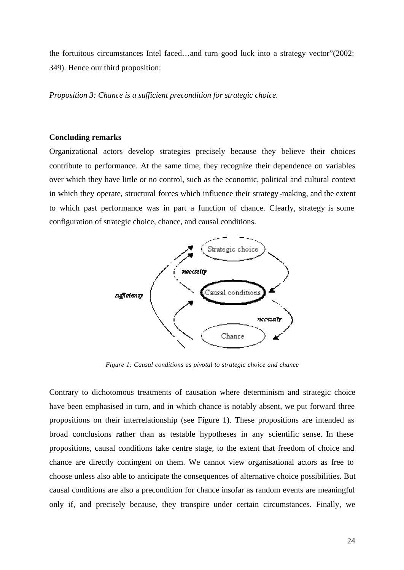the fortuitous circumstances Intel faced…and turn good luck into a strategy vector"(2002: 349). Hence our third proposition:

*Proposition 3: Chance is a sufficient precondition for strategic choice.*

# **Concluding remarks**

Organizational actors develop strategies precisely because they believe their choices contribute to performance. At the same time, they recognize their dependence on variables over which they have little or no control, such as the economic, political and cultural context in which they operate, structural forces which influence their strategy-making, and the extent to which past performance was in part a function of chance. Clearly, strategy is some configuration of strategic choice, chance, and causal conditions.



*Figure 1: Causal conditions as pivotal to strategic choice and chance*

Contrary to dichotomous treatments of causation where determinism and strategic choice have been emphasised in turn, and in which chance is notably absent, we put forward three propositions on their interrelationship (see Figure 1). These propositions are intended as broad conclusions rather than as testable hypotheses in any scientific sense. In these propositions, causal conditions take centre stage, to the extent that freedom of choice and chance are directly contingent on them. We cannot view organisational actors as free to choose unless also able to anticipate the consequences of alternative choice possibilities. But causal conditions are also a precondition for chance insofar as random events are meaningful only if, and precisely because, they transpire under certain circumstances. Finally, we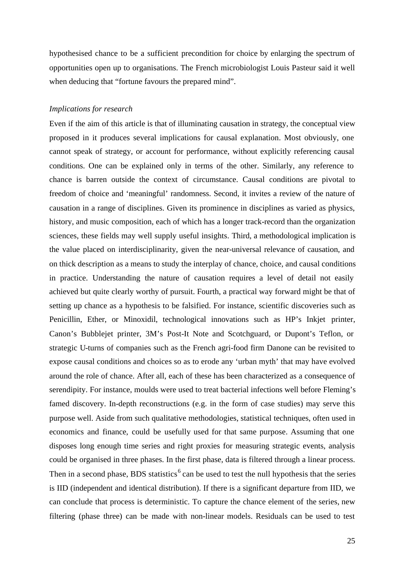hypothesised chance to be a sufficient precondition for choice by enlarging the spectrum of opportunities open up to organisations. The French microbiologist Louis Pasteur said it well when deducing that "fortune favours the prepared mind".

# *Implications for research*

Even if the aim of this article is that of illuminating causation in strategy, the conceptual view proposed in it produces several implications for causal explanation. Most obviously, one cannot speak of strategy, or account for performance, without explicitly referencing causal conditions. One can be explained only in terms of the other. Similarly, any reference to chance is barren outside the context of circumstance. Causal conditions are pivotal to freedom of choice and 'meaningful' randomness. Second, it invites a review of the nature of causation in a range of disciplines. Given its prominence in disciplines as varied as physics, history, and music composition, each of which has a longer track-record than the organization sciences, these fields may well supply useful insights. Third, a methodological implication is the value placed on interdisciplinarity, given the near-universal relevance of causation, and on thick description as a means to study the interplay of chance, choice, and causal conditions in practice. Understanding the nature of causation requires a level of detail not easily achieved but quite clearly worthy of pursuit. Fourth, a practical way forward might be that of setting up chance as a hypothesis to be falsified. For instance, scientific discoveries such as Penicillin, Ether, or Minoxidil, technological innovations such as HP's Inkjet printer, Canon's Bubblejet printer, 3M's Post-It Note and Scotchguard, or Dupont's Teflon, or strategic U-turns of companies such as the French agri-food firm Danone can be revisited to expose causal conditions and choices so as to erode any 'urban myth' that may have evolved around the role of chance. After all, each of these has been characterized as a consequence of serendipity. For instance, moulds were used to treat bacterial infections well before Fleming's famed discovery. In-depth reconstructions (e.g. in the form of case studies) may serve this purpose well. Aside from such qualitative methodologies, statistical techniques, often used in economics and finance, could be usefully used for that same purpose. Assuming that one disposes long enough time series and right proxies for measuring strategic events, analysis could be organised in three phases. In the first phase, data is filtered through a linear process. Then in a second phase, BDS statistics<sup>6</sup> can be used to test the null hypothesis that the series is IID (independent and identical distribution). If there is a significant departure from IID, we can conclude that process is deterministic. To capture the chance element of the series, new filtering (phase three) can be made with non-linear models. Residuals can be used to test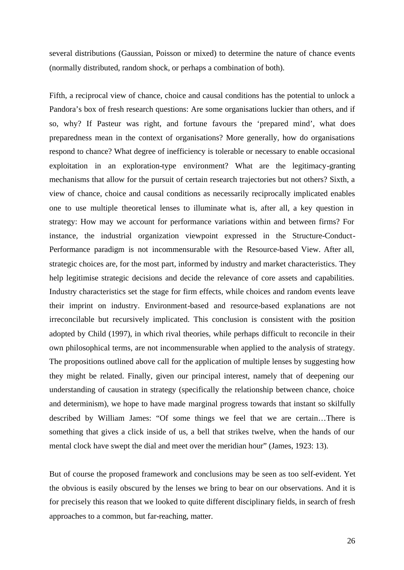several distributions (Gaussian, Poisson or mixed) to determine the nature of chance events (normally distributed, random shock, or perhaps a combination of both).

Fifth, a reciprocal view of chance, choice and causal conditions has the potential to unlock a Pandora's box of fresh research questions: Are some organisations luckier than others, and if so, why? If Pasteur was right, and fortune favours the 'prepared mind', what does preparedness mean in the context of organisations? More generally, how do organisations respond to chance? What degree of inefficiency is tolerable or necessary to enable occasional exploitation in an exploration-type environment? What are the legitimacy-granting mechanisms that allow for the pursuit of certain research trajectories but not others? Sixth, a view of chance, choice and causal conditions as necessarily reciprocally implicated enables one to use multiple theoretical lenses to illuminate what is, after all, a key question in strategy: How may we account for performance variations within and between firms? For instance, the industrial organization viewpoint expressed in the Structure-Conduct-Performance paradigm is not incommensurable with the Resource-based View. After all, strategic choices are, for the most part, informed by industry and market characteristics. They help legitimise strategic decisions and decide the relevance of core assets and capabilities. Industry characteristics set the stage for firm effects, while choices and random events leave their imprint on industry. Environment-based and resource-based explanations are not irreconcilable but recursively implicated. This conclusion is consistent with the position adopted by Child (1997), in which rival theories, while perhaps difficult to reconcile in their own philosophical terms, are not incommensurable when applied to the analysis of strategy. The propositions outlined above call for the application of multiple lenses by suggesting how they might be related. Finally, given our principal interest, namely that of deepening our understanding of causation in strategy (specifically the relationship between chance, choice and determinism), we hope to have made marginal progress towards that instant so skilfully described by William James: "Of some things we feel that we are certain…There is something that gives a click inside of us, a bell that strikes twelve, when the hands of our mental clock have swept the dial and meet over the meridian hour" (James, 1923: 13).

But of course the proposed framework and conclusions may be seen as too self-evident. Yet the obvious is easily obscured by the lenses we bring to bear on our observations. And it is for precisely this reason that we looked to quite different disciplinary fields, in search of fresh approaches to a common, but far-reaching, matter.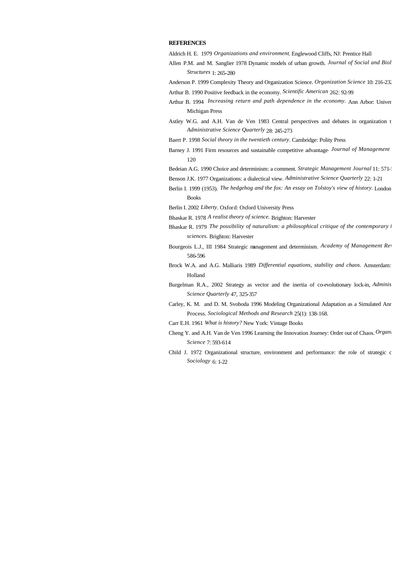#### **REFERENCES**

Aldrich H. E. 1979 *Organizations and environment*. Englewood Cliffs, NJ: Prentice Hall

- Allen P.M. and M. Sanglier 1978 Dynamic models of urban growth. *Journal of Social and Biol Structures* 1: 265-280
- Anderson P. 1999 Complexity Theory and Organization Science. *Organization Science* 10: 216-232
- Arthur B. 1990 Positive feedback in the economy. *Scientific American* 262: 92-99
- Arthur B. 1994 *Increasing return and path dependence in the economy*. Ann Arbor: Univer Michigan Press
- Astley W.G. and A.H. Van de Ven 1983 Central perspectives and debates in organization t *Administrative Science Quarterly* 28: 245-273
- Baert P. 1998 *Social theory in the twentieth century*. Cambridge: Polity Press
- Barney J. 1991 Firm resources and sustainable competitive advantage. Journal of Management 120
- Bedeian A.G. 1990 Choice and determinism: a comment. *Strategic Management Journal* 11: 571-
- Benson J.K. 1977 Organizations: a dialectical view. *Administrative Science Quarterly* 22: 1-21
- Berlin I. 1999 (1953). *The hedgehog and the fox: An essay on Tolstoy's view of history*. London: Books
- Berlin I. 2002 *Liberty*. Oxford: Oxford University Press
- Bhaskar R. 1978 *A realist theory of science.* Brighton: Harvester
- Bhaskar R. 1979 *The possibility of naturalism: a philosophical critique of the contemporary l sciences.* Brighton: Harvester
- Bourgeois L.J., III 1984 Strategic management and determinism. Academy of Management Rev 586-596
- Brock W.A. and A.G. Malliaris 1989 *Differential equations, stability and chaos*. Amsterdam: Holland
- Burgelman R.A., 2002 Strategy as vector and the inertia of co-evolutionary lock-in, *Adminis Science Quarterly* 47, 325-357
- Carley, K. M. and D. M. Svoboda 1996 Modeling Organizational Adaptation as a Simulated Anr Process. *Sociological Methods and Research* 25(1): 138-168.
- Carr E.H. 1961 *What is history?* New York: Vintage Books
- Cheng Y. and A.H. Van de Ven 1996 Learning the Innovation Journey: Order out of Chaos. *Organization* **Chaos.** *Organization a Science* 7: 593-614
- Child J. 1972 Organizational structure, environment and performance: the role of strategic c *Sociology* 6: 1-22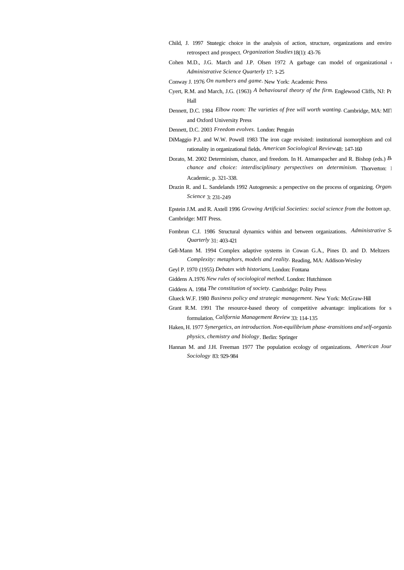- Child, J. 1997 Strategic choice in the analysis of action, structure, organizations and environments: retrospect and prospect. *Organization Studies* 18(1): 43-76
- Cohen M.D., J.G. March and J.P. Olsen 1972 A garbage can model of organizational c *Administrative Science Quarterly* 17: 1-25
- Conway J. 1976 *On numbers and game.* New York: Academic Press
- Cyert, R.M. and March, J.G. (1963) *A behavioural theory of the firm.* Englewood Cliffs, NJ: Pr Hall
- Dennett, D.C. 1984 *Elbow room: The varieties of free will worth wanting. Cambridge, MA: MIT* and Oxford University Press
- Dennett, D.C. 2003 *Freedom evolves.* London: Penguin
- DiMaggio P.J. and W.W. Powell 1983 The iron cage revisited: institutional isomorphism and col rationality in organizational fields. *American Sociological Review* 48: 147-160
- Dorato, M. 2002 Determinism, chance, and freedom. In H. Atmanspacher and R. Bishop (eds.)  $B_1$ *chance and choice: interdisciplinary perspectives on determinism.* Thorverton: 1 Academic, p. 321-338.
- Drazin R. and L. Sandelands 1992 Autogenesis: a perspective on the process of organizing. *Organi Science* 3: 231-249

Epstein J.M. and R. Axtell 1996 *Growing Artificial Societies: social science from the bottom up*. Cambridge: MIT Press.

- Fombrun C.J. 1986 Structural dynamics within and between organizations. *Administrative* S<sub>t</sub> *Quarterly* 31: 403-421
- Gell-Mann M. 1994 Complex adaptive systems in Cowan G.A., Pines D. and D. Meltzers *Complexity: metaphors, models and reality.* Reading, MA: Addison-Wesley
- Geyl P. 1970 (1955) *Debates with historians*. London: Fontana
- Giddens A.1976 *New rules of sociological method*. London: Hutchinson
- Giddens A. 1984 *The constitution of society.* Cambridge: Polity Press
- Glueck W.F. 1980 *Business policy and strategic management.* New York: McGraw-Hill
- Grant R.M. 1991 The resource-based theory of competitive advantage: implications for s formulation. *California Management Review* 33: 114-135
- Haken, H. 1977 *Synergetics, an introduction. Non-equilibrium phase -transitions and self-organizati physics, chemistry and biology*. Berlin: Springer
- Hannan M. and J.H. Freeman 1977 The population ecology of organizations. American Jour *Sociology* 83: 929-984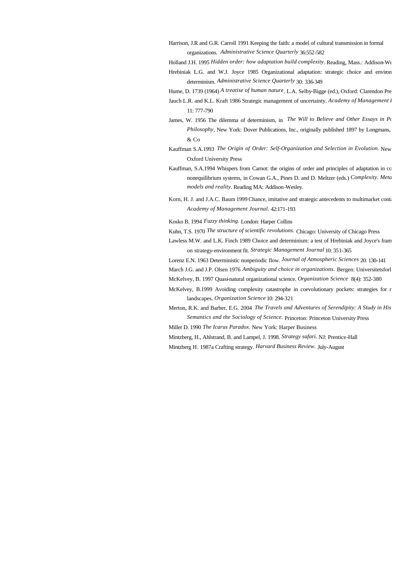- Harrison, J.R and G.R. Carroll 1991 Keeping the faith: a model of cultural transmission in formal organizations. *Administrative Science Quarterly* 36:552-582
- Holland J.H. 1995 *Hidden order: how adaptation build complexity*. Reading, Mass.: Addison-Wesley
- Hrebiniak L.G. and W.J. Joyce 1985 Organizational adaptation: strategic choice and environ determinism. *Administrative Science Quarterly* 30: 336-349
- Hume, D. 1739 (1964) *A treatise of human nature*. L.A. Selby-Bigge (ed.), Oxford: Clarendon Press
- Jauch L.R. and K.L. Kraft 1986 Strategic management of uncertainty. *Academy of Management I* 11: 777-790
- James, W. 1956 The dilemma of determinism, in *The Will to Believe and Other Essays in Popular Philosophy*, New York: Dover Publications, Inc., originally published 1897 by Longmans,  $&$  Co
- Kauffman S.A.1993 *The Origin of Order: Self-Organization and Selection in Evolution.* New Oxford University Press
- Kauffman, S.A.1994 Whispers from Carnot: the origins of order and principles of adaptation in co nonequilibrium systems, in Cowan G.A., Pines D. and D. Meltzer (eds.) *Complexity. Meta models and reality*. Reading MA: Addison-Wesley.
- Korn, H. J. and J.A.C. Baum 1999 Chance, imitative and strategic antecedents to multimarket conta *Academy of Management Journal.* 42:171-193
- Kosko B. 1994 *Fuzzy thinking.* London: Harper Collins
- Kuhn, T.S. 1970 *The structure of scientific revolutions.* Chicago: University of Chicago Press
- Lawless M.W. and L.K. Finch 1989 Choice and determinism: a test of Hrebiniak and Joyce's fram on strategy-environment fit. *Strategic Management Journal* 10: 351-365
- Lorenz E.N. 1963 Deterministic nonperiodic flow. *Journal of Atmospheric Sciences* 20: 130-141
- March J.G. and J.P. Olsen 1976 Ambiguity and choice in organizations. Bergen: Universitetsforl
- McKelvey, B. 1997 Quasi-natural organizational science. *Organization Science* 8(4): 352-380
- McKelvey, B.1999 Avoiding complexity catastrophe in coevolutionary pockets: strategies for r landscapes. *Organization Science* 10: 294-321
- Merton, R.K. and Barber, E.G. 2004 *The Travels and Adventures of Serendipity: A Study in His Semantics and the Sociology of Science.* Princeton: Princeton University Press
- Miller D. 1990 *The Icarus Paradox*. New York: Harper Business
- Mintzberg, H., Ahlstrand, B. and Lampel, J. 1998. *Strategy safari.* NJ: Prentice-Hall
- Mintzberg H. 1987a Crafting strategy. *Harvard Business Review.* July-August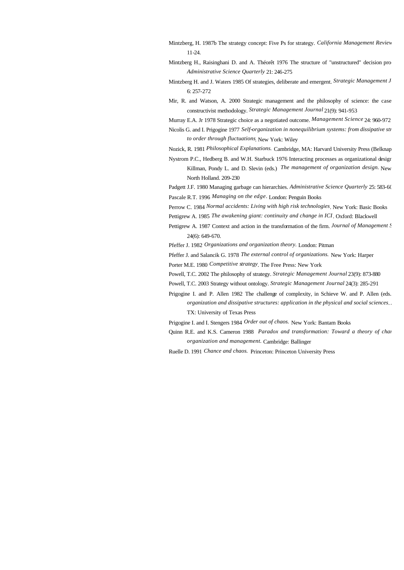- Mintzberg, H. 1987b The strategy concept: Five Ps for strategy. *California Management Review* 11-24.
- Mintzberg H., Raisinghani D. and A. Théorêt 1976 The structure of "unstructured" decision pro-*Administrative Science Quarterly* 21: 246-275
- Mintzberg H. and J. Waters 1985 Of strategies, deliberate and emergent. *Strategic Management J* 6: 257-272
- Mir, R. and Watson, A. 2000 Strategic management and the philosophy of science: the case constructivist methodology. *Strategic Management Journal* 21(9): 941-953

Murray E.A. Jr 1978 Strategic choice as a negotiated outcome. *Management Science* 24: 960-972

Nicolis G. and I. Prigogine 1977 Self-organization in nonequilibrium systems: from dissipative str *to order through fluctuations*. New York: Wiley

Nozick, R. 1981 *Philosophical Explanations.* Cambridge, MA: Harvard University Press (Belknap)

Nystrom P.C., Hedberg B. and W.H. Starbuck 1976 Interacting processes as organizational design. Killman, Pondy L. and D. Slevin (eds.) *The management of organization design*. New North Holland. 209-230

Padgett J.F. 1980 Managing garbage can hierarchies. *Administrative Science Quarterly* 25: 583-604

Pascale R.T. 1996 *Managing on the edge.* London: Penguin Books

Perrow C. 1984 *Normal accidents: Living with high risk technologies*. New York: Basic Books

- Pettigrew A. 1985 *The awakening giant: continuity and change in ICI*. Oxford: Blackwell
- Pettigrew A. 1987 Context and action in the transformation of the firm. *Journal of Management S* 24(6): 649-670.
- Pfeffer J. 1982 *Organizations and organization theory.* London: Pitman

Pfeffer J. and Salancik G. 1978 *The external control of organizations.* New York: Harper

Porter M.E. 1980 *Competitive strategy*. The Free Press: New York

Powell, T.C. 2002 The philosophy of strategy. *Strategic Management Journal* 23(9): 873-880

- Powell, T.C. 2003 Strategy without ontology. *Strategic Management Journal* 24(3): 285-291
- Prigogine I. and P. Allen 1982 The challenge of complexity, in Schieve W. and P. Allen (eds.) *organization and dissipative structures: application in the physical and social sciences.* TX: University of Texas Press
- Prigogine I. and I. Stengers 1984 *Order out of chaos.* New York: Bantam Books
- Quinn R.E. and K.S. Cameron 1988 *Paradox and transformation: Toward a theory of changeron at the in a theory of changeron in a keep in a theory of changeron at*  $m$ *organization and management.* Cambridge: Ballinger
- Ruelle D. 1991 *Chance and chaos.* Princeton: Princeton University Press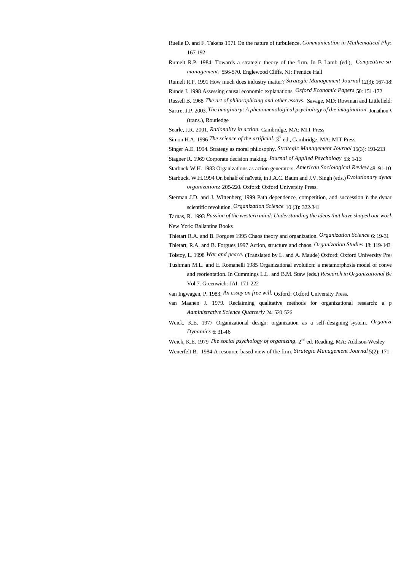- Ruelle D. and F. Takens 1971 On the nature of turbulence. *Communication in Mathematical Physics* 167-192
- Rumelt R.P. 1984. Towards a strategic theory of the firm. In B Lamb (ed.), *Competitive str management:* 556-570. Englewood Cliffs, NJ: Prentice Hall

Rumelt R.P. 1991 How much does industry matter? *Strategic Management Journal* 12(3): 167-185

- Runde J. 1998 Assessing causal economic explanations. *Oxford Economic Papers* 50: 151-172
- Russell B. 1968 *The art of philosophizing and other essays.* Savage, MD: Rowman and Littlefield:
- Sartre, J.P. 2003. *The imaginary: A phenomenological psychology of the imagination*. Jonathon V (trans.), Routledge
- Searle, J.R. 2001. *Rationality in action.* Cambridge, MA: MIT Press

Simon H.A. 1996 *The science of the artificial*. 3<sup>rd</sup> ed., Cambridge, MA: MIT Press

- Singer A.E. 1994. Strategy as moral philosophy. *Strategic Management Journal* 15(3): 191-213
- Stagner R. 1969 Corporate decision making. *Journal of Applied Psychology* 53: 1-13

Starbuck W.H. 1983 Organizations as action generators. *American Sociological Review* 48: 91-102

- Starbuck. W.H.1994 On behalf of naïveté, in J.A.C. Baum and J.V. Singh (eds.) *Evolutionary dynar organizations***:** 205-220**.** Oxford: Oxford University Press.
- Sterman J.D. and J. Wittenberg 1999 Path dependence, competition, and succession in the dynamics of scientific revolution. *Organization Science* 10 (3): 322-341

Tarnas, R. 1993 Passion of the western mind: Understanding the ideas that have shaped our world New York: Ballantine Books

Thietart R.A. and B. Forgues 1995 Chaos theory and organization. *Organization Science* 6: 19-31

Thietart, R.A. and B. Forgues 1997 Action, structure and chaos. *Organization Studies* 18: 119-143

Tolstoy, L. 1998 *War and peace.* (Translated by L. and A. Maude) Oxford: Oxford University Pres

Tushman M.L. and E. Romanelli 1985 Organizational evolution: a metamorphosis model of conver and reorientation. In Cummings L.L. and B.M. Staw (eds.) *Research in Organizational Be* Vol 7. Greenwich: JAI. 171-222

van Ingwagen, P. 1983. *An essay on free will.* Oxford: Oxford University Press.

- van Maanen J. 1979. Reclaiming qualitative methods for organizational research: a p *Administrative Science Quarterly* 24: 520-526
- Weick, K.E. 1977 Organizational design: organization as a self-designing system. *Organization Dynamics* 6: 31-46

Weick, K.E. 1979 *The social psychology of organizing*,  $2<sup>nd</sup>$  ed. Reading, MA: Addison-Wesley

Wenerfelt B. 1984 A resource-based view of the firm. *Strategic Management Journal* 5(2): 171-